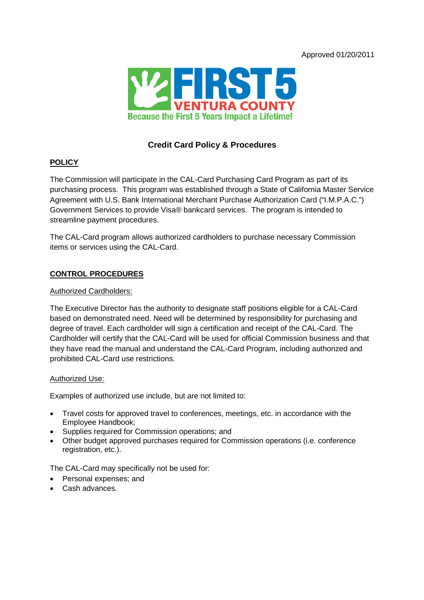Approved 01/20/2011



# **Credit Card Policy & Procedures**

## **POLICY**

The Commission will participate in the CAL-Card Purchasing Card Program as part of its purchasing process. This program was established through a State of California Master Service Agreement with U.S. Bank International Merchant Purchase Authorization Card ("I.M.P.A.C.") Government Services to provide Visa® bankcard services. The program is intended to streamline payment procedures.

The CAL-Card program allows authorized cardholders to purchase necessary Commission items or services using the CAL-Card.

## **CONTROL PROCEDURES**

## Authorized Cardholders:

The Executive Director has the authority to designate staff positions eligible for a CAL-Card based on demonstrated need. Need will be determined by responsibility for purchasing and degree of travel. Each cardholder will sign a certification and receipt of the CAL-Card. The Cardholder will certify that the CAL-Card will be used for official Commission business and that they have read the manual and understand the CAL-Card Program, including authorized and prohibited CAL-Card use restrictions.

### Authorized Use:

Examples of authorized use include, but are not limited to:

- Travel costs for approved travel to conferences, meetings, etc. in accordance with the Employee Handbook;
- Supplies required for Commission operations; and
- Other budget approved purchases required for Commission operations (i.e. conference registration, etc.).

The CAL-Card may specifically not be used for:

- Personal expenses: and
- Cash advances.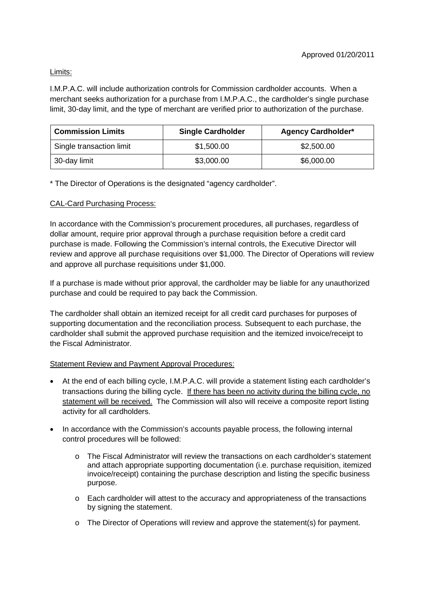# Limits:

I.M.P.A.C. will include authorization controls for Commission cardholder accounts. When a merchant seeks authorization for a purchase from I.M.P.A.C., the cardholder's single purchase limit, 30-day limit, and the type of merchant are verified prior to authorization of the purchase.

| <b>Commission Limits</b> | <b>Single Cardholder</b> | <b>Agency Cardholder*</b> |
|--------------------------|--------------------------|---------------------------|
| Single transaction limit | \$1,500.00               | \$2,500.00                |
| 30-day limit             | \$3,000.00               | \$6,000.00                |

\* The Director of Operations is the designated "agency cardholder".

# CAL-Card Purchasing Process:

In accordance with the Commission's procurement procedures, all purchases, regardless of dollar amount, require prior approval through a purchase requisition before a credit card purchase is made. Following the Commission's internal controls, the Executive Director will review and approve all purchase requisitions over \$1,000. The Director of Operations will review and approve all purchase requisitions under \$1,000.

If a purchase is made without prior approval, the cardholder may be liable for any unauthorized purchase and could be required to pay back the Commission.

The cardholder shall obtain an itemized receipt for all credit card purchases for purposes of supporting documentation and the reconciliation process. Subsequent to each purchase, the cardholder shall submit the approved purchase requisition and the itemized invoice/receipt to the Fiscal Administrator.

# Statement Review and Payment Approval Procedures:

- At the end of each billing cycle, I.M.P.A.C. will provide a statement listing each cardholder's transactions during the billing cycle. If there has been no activity during the billing cycle, no statement will be received. The Commission will also will receive a composite report listing activity for all cardholders.
- In accordance with the Commission's accounts payable process, the following internal control procedures will be followed:
	- o The Fiscal Administrator will review the transactions on each cardholder's statement and attach appropriate supporting documentation (i.e. purchase requisition, itemized invoice/receipt) containing the purchase description and listing the specific business purpose.
	- o Each cardholder will attest to the accuracy and appropriateness of the transactions by signing the statement.
	- o The Director of Operations will review and approve the statement(s) for payment.